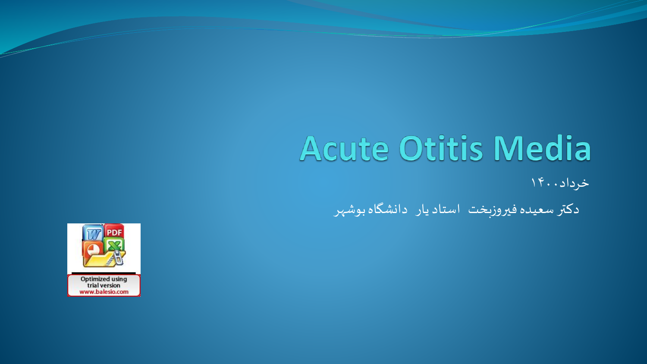# Acute Otitis Media

خرداد1400

دکتر سعیده فیروزبخت استاد یار دانشگاه بوشهر

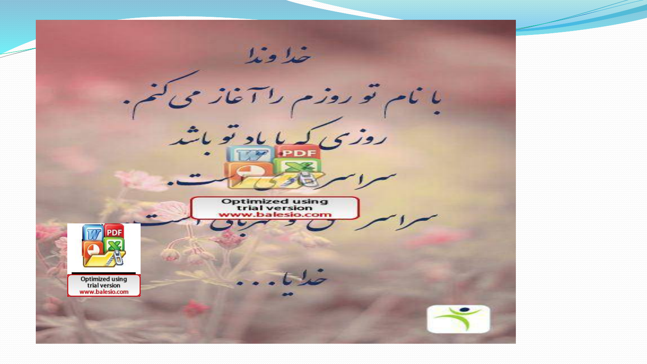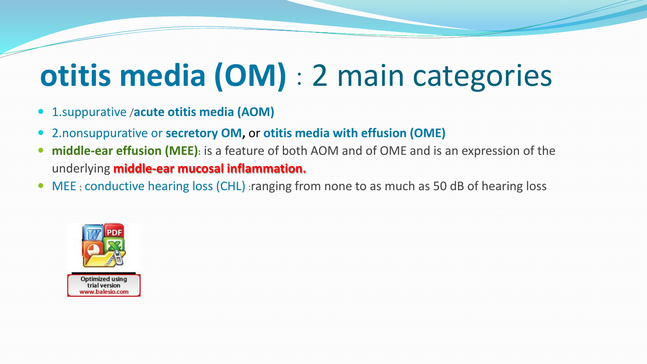# **otitis media (OM)** : 2 main categories

- 1.suppurative /**acute otitis media (AOM)**
- 2.nonsuppurative or **secretory OM,** or **otitis media with effusion (OME)**
- **middle-ear effusion (MEE):** is a feature of both AOM and of OME and is an expression of the underlying **middle-ear mucosal inflammation.**
- MEE: conductive hearing loss (CHL) : ranging from none to as much as 50 dB of hearing loss

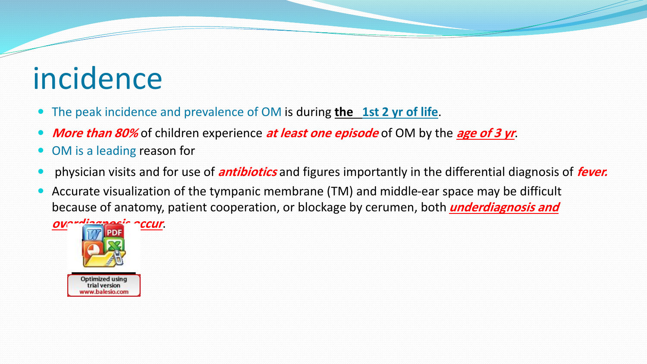## incidence

- The peak incidence and prevalence of OM is during **the 1st 2 yr of life**.
- **More than 80%** of children experience **at least one episode** of OM by the **age of 3 yr**.
- OM is a leading reason for
- physician visits and for use of **antibiotics** and figures importantly in the differential diagnosis of **fever.**
- Accurate visualization of the tympanic membrane (TM) and middle-ear space may be difficult because of anatomy, patient cooperation, or blockage by cerumen, both **underdiagnosis and**



ww.balesio.com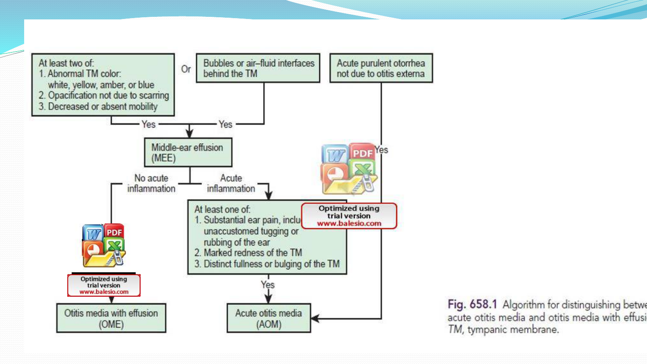

Fig. 658.1 Algorithm for distinguishing betwe acute otitis media and otitis media with effusi TM, tympanic membrane.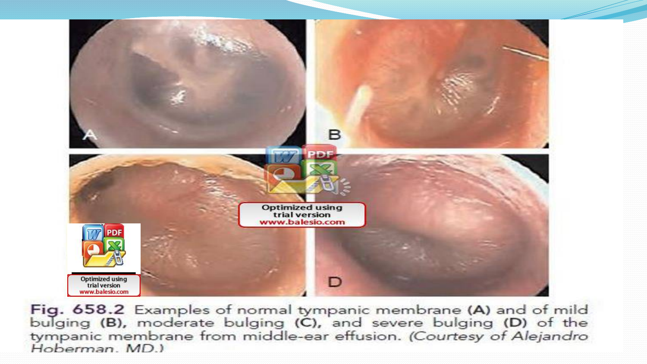

Fig. 658.2 Examples of normal tympanic membrane (A) and of mild<br>bulging (B), moderate bulging (C), and severe bulging (D) of the tympanic membrane from middle-ear effusion. (Courtesy of Alejandro Hoberman, MD.)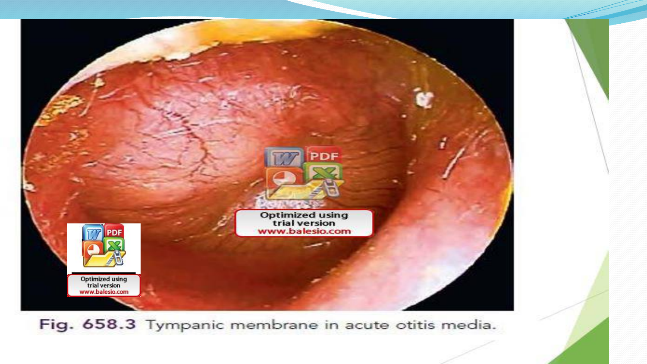

Fig. 658.3 Tympanic membrane in acute otitis media.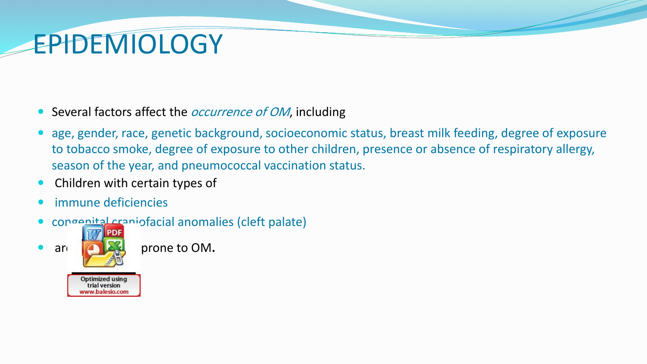## **EPIDEMIOLOGY**

- Several factors affect the *occurrence of OM*, including
- age, gender, race, genetic background, socioeconomic status, breast milk feeding, degree of exposure to tobacco smoke, degree of exposure to other children, presence or absence of respiratory allergy, season of the year, and pneumococcal vaccination status.
- Children with certain types of
- *immune deficiencies*
- congenital craniofacial anomalies (cleft palate)



are **particularly prone to OM.** 

**Optimized using** trial version www.balesio.com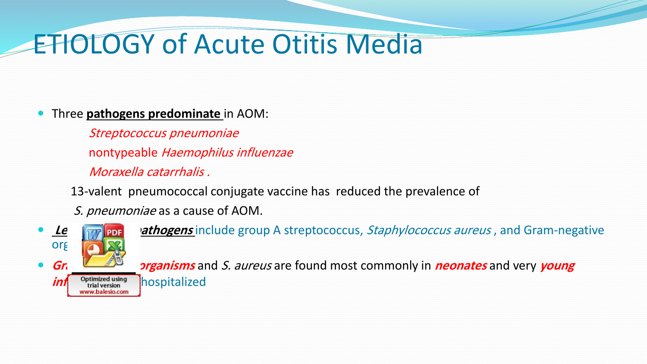### ETIOLOGY of Acute Otitis Media

#### Three **pathogens predominate** in AOM:

Streptococcus pneumoniae nontypeable Haemophilus influenzae Moraxella catarrhalis .

13-valent pneumococcal conjugate vaccine has reduced the prevalence of

S. pneumoniae as a cause of AOM.



**Le Free pathogens** include group A streptococcus, Staphylococcus aureus, and Gram-negative

**Gr. Determinisms** and S. aureus are found most commonly in **neonates** and very **young**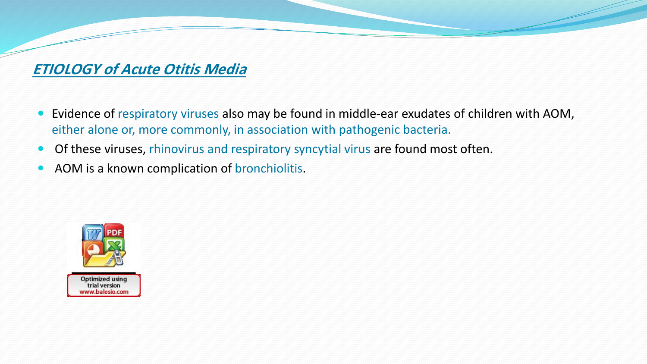#### **ETIOLOGY of Acute Otitis Media**

- Evidence of respiratory viruses also may be found in middle-ear exudates of children with AOM, either alone or, more commonly, in association with pathogenic bacteria.
- Of these viruses, rhinovirus and respiratory syncytial virus are found most often.
- AOM is a known complication of bronchiolitis.

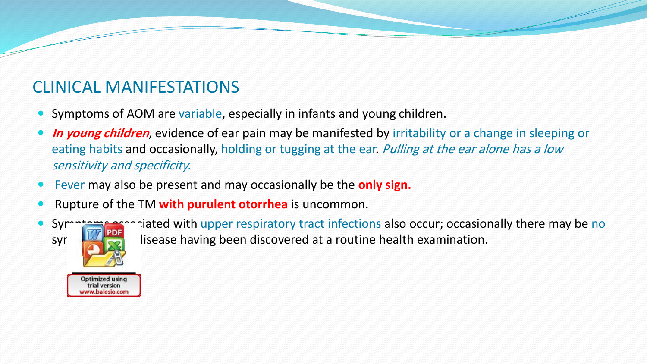### CLINICAL MANIFESTATIONS

- Symptoms of AOM are variable, especially in infants and young children.
- **In young children**, evidence of ear pain may be manifested by irritability or a change in sleeping or eating habits and occasionally, holding or tugging at the ear. Pulling at the ear alone has a low sensitivity and specificity.
- Fever may also be present and may occasionally be the **only sign.**
- Rupture of the TM **with purulent otorrhea** is uncommon.



Optimized using trial version ww.balesio.com

Symptoms associated with upper respiratory tract infections also occur; occasionally there may be no syr  $\frac{100}{100}$  lisease having been discovered at a routine health examination.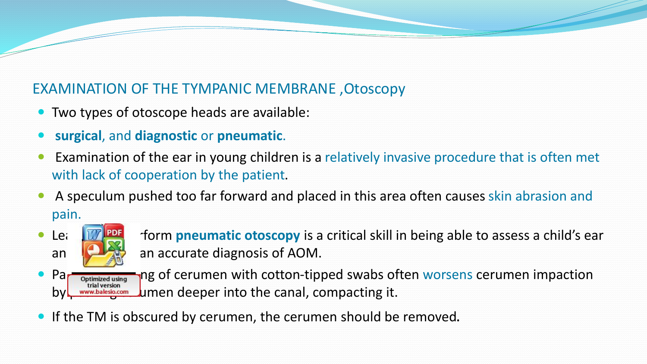#### EXAMINATION OF THE TYMPANIC MEMBRANE ,Otoscopy

- Two types of otoscope heads are available:
- **surgical**, and **diagnostic** or **pneumatic**.
- Examination of the ear in young children is a relatively invasive procedure that is often met with lack of cooperation by the patient.
- A speculum pushed too far forward and placed in this area often causes skin abrasion and pain.



• Learning to provide to preumatic otoscopy is a critical skill in being able to assess a child's ear and **in making an accurate diagnosis of AOM.** 

• Partimized using ng of cerumen with cotton-tipped swabs often worsens cerumen impaction by www.balesio.com Jumen deeper into the canal, compacting it.

If the TM is obscured by cerumen, the cerumen should be removed.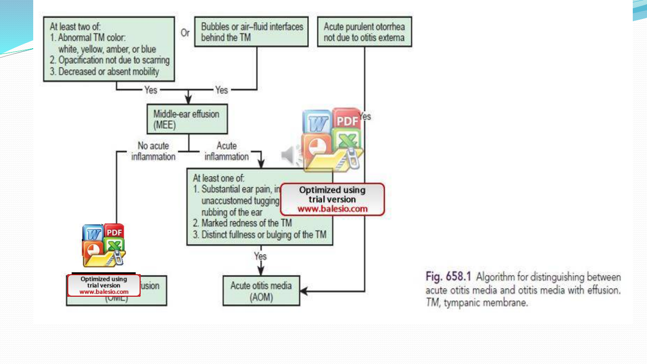

Fig. 658.1 Algorithm for distinguishing between acute otitis media and otitis media with effusion. TM, tympanic membrane.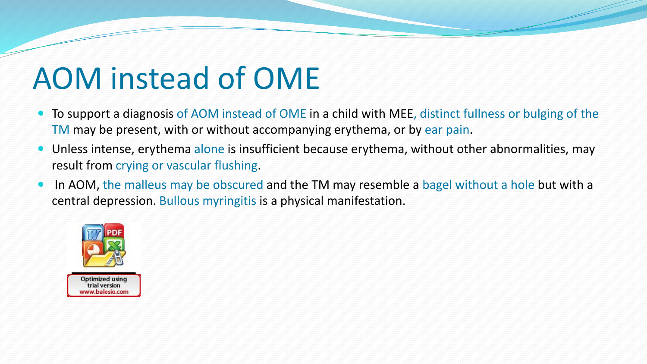# AOM instead of OME

- To support a diagnosis of AOM instead of OME in a child with MEE, distinct fullness or bulging of the TM may be present, with or without accompanying erythema, or by ear pain.
- **•** Unless intense, erythema alone is insufficient because erythema, without other abnormalities, may result from crying or vascular flushing.
- In AOM, the malleus may be obscured and the TM may resemble a bagel without a hole but with a central depression. Bullous myringitis is a physical manifestation.

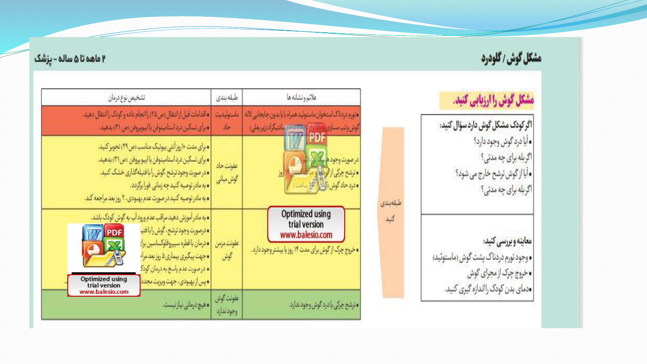### مشكل گوش / گلودرد

#### ۲ ماهه تا ۵ ساله - پزشک

### مشکل گوش را ارزیابی کنید.

|اگر کودک مشکل گوش دارد سؤال کنید: **|•** آیا درد گوش وج<mark>و</mark>د دارد؟ اگرېله برای چه مدتی؟ • آیا از گوش ترشح خارج می شود؟ اگر بله برای چه مدتی؟

طبقهبندى

كنيد

معاينه وبررسي كنيد: • وجود تورم دردناک پشت گوش (ماستوئيد) • خروج چرک از مجرای گوش دمای بدن کودک را اندازه گیری کنید.

| تشخيص نوع درمان                                                                      |                                                                                                                                                                                                                                                                                        | طبقه بندى               | علائم ونشانه ها                                                                                                          |  |
|--------------------------------------------------------------------------------------|----------------------------------------------------------------------------------------------------------------------------------------------------------------------------------------------------------------------------------------------------------------------------------------|-------------------------|--------------------------------------------------------------------------------------------------------------------------|--|
|                                                                                      | ه اقدامات قبل از انتقال (ص ٣۵) را انجام داده و کودک را انتقال دهید.<br>• برای تسکین درد استامینوفن یا ایبویروفن (ص ۳۱) بدهید.                                                                                                                                                          | مأستوثيديت<br>حاد       | ●تورم دردناک استخوان ماستوئید همراه با یا بدون جابجایی لاله<br>ا استحدود انتیکراد <sub>اربر</sub> بغلی)<br>گوش ویب مساوی |  |
|                                                                                      | • برای مدت ۱۰ روز آنتی بیوتیک مناسب (ص ۲۹) تجویز کنید.<br>• برای تسکین درد استامینوفن یا ایبوپروفن (ص ٣١) بدهید.<br>• در صورت وجود ترشح ،گوش را با فتیله گذاری خشک کنید.<br>ەبەمادر توصيە كنيد چە زمانى فورا برگردد.<br>ه به مادر توصیه کنید در صورت عدم بهبودی، ۲ روز بعد مراجعه کند. | عقولت حاد<br>گوش میانی  | درصورت وجود هرگ الا است.<br>• ترشح جرگی از فروغ بر مستقبل است.<br>• درد حاد گوش وی از این ساعت )                         |  |
| <b>MA</b> PDF<br>$\bigcap \mathbb{Z}_2^2$<br><b>Optimized using</b><br>trial version | • به مادر آموزش دهید مراقب عدم ورود آب به گوش کودک باشد.<br>• درصورت وجود ترشح، گوش را با فتيا<br>ەدرمان باقطرە سيپروفلوكساسين براء<br>• جهت پیگیری بیماری ۵ روز بعد مرا-<br>. درصورت عدم باسخ به درمان کودک<br>• پس از بهبودی، جهت ویزیت مجدد                                         | عفولت مزمن<br>گوش       | Optimized using<br>trial version<br>www.balesio.com<br>ه خروج چرک از گوش برای مدت ۱۴ روز یا پیشتر وجود دارد.             |  |
| www.balesio.com                                                                      | • هیچ درمانی نیاز نیست.                                                                                                                                                                                                                                                                | عفونت گوش<br>وحود ندارد | • ترشح چرکی یا درد گوش وجود ندارد.                                                                                       |  |

स्टब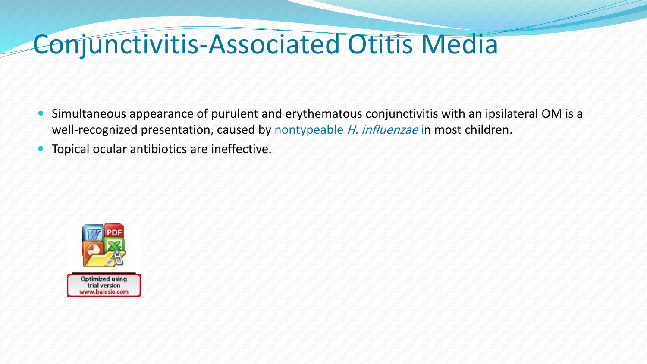### Conjunctivitis-Associated Otitis Media

- Simultaneous appearance of purulent and erythematous conjunctivitis with an ipsilateral OM is a well-recognized presentation, caused by nontypeable H. influenzae in most children.
- Topical ocular antibiotics are ineffective.

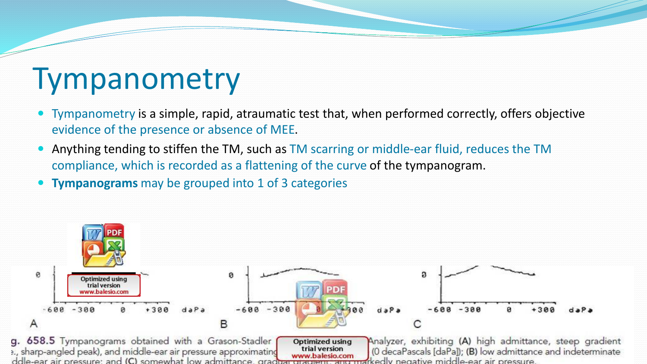## Tympanometry

- Tympanometry is a simple, rapid, atraumatic test that, when performed correctly, offers objective evidence of the presence or absence of MEE.
- Anything tending to stiffen the TM, such as TM scarring or middle-ear fluid, reduces the TM compliance, which is recorded as a flattening of the curve of the tympanogram.
- **Tympanograms** may be grouped into 1 of 3 categories

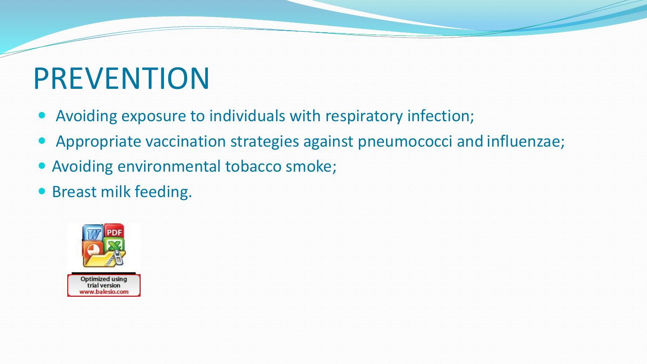# PREVENTION

- Avoiding exposure to individuals with respiratory infection;
- Appropriate vaccination strategies against pneumococci and influenzae;
- Avoiding environmental tobacco smoke;
- Breast milk feeding.

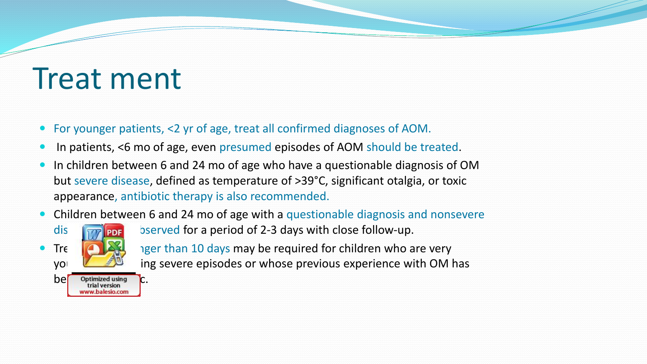### Treat ment

- For younger patients, <2 yr of age, treat all confirmed diagnoses of AOM.
- In patients, <6 mo of age, even presumed episodes of AOM should be treated.
- In children between 6 and 24 mo of age who have a questionable diagnosis of OM but severe disease, defined as temperature of >39°C, significant otalgia, or toxic appearance, antibiotic therapy is also recommended.
- Children between 6 and 24 mo of age with a questionable diagnosis and nonsevere



dis  $\lim_{n \to \infty}$  bserved for a period of 2-3 days with close follow-up. Treatly and in a longer than 10 days may be required for children who are very  $\mathbf{y}$  ing severe episodes or whose previous experience with OM has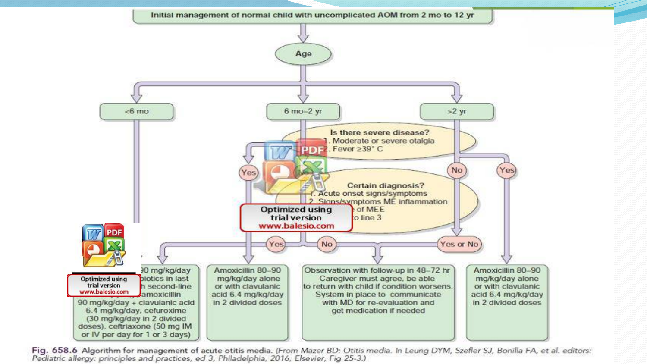

Fig. 658.6 Algorithm for management of acute otitis media. (From Mazer BD: Otitis media. In Leung DYM, Szefler SJ, Bonilla FA, et al. editors: Pediatric allergy: principles and practices, ed 3, Philadelphia, 2016, Elsevier, Fig 25-3.)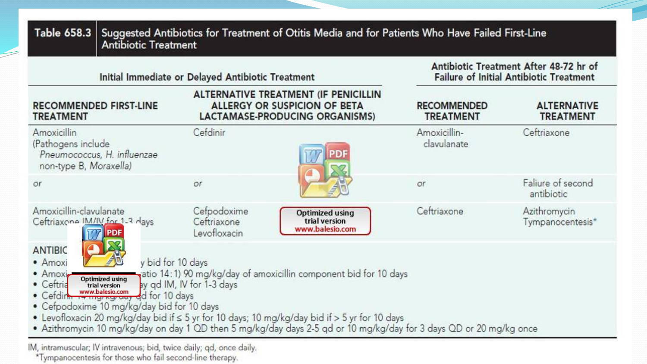| Initial Immediate or Delayed Antibiotic Treatment            |                                                                                                                                                                                  |                                                                                                                                                                                                                                                                                                                              | Antibiotic Treatment After 48-72 hr of<br><b>Failure of Initial Antibiotic Treatment</b> |                                        |  |
|--------------------------------------------------------------|----------------------------------------------------------------------------------------------------------------------------------------------------------------------------------|------------------------------------------------------------------------------------------------------------------------------------------------------------------------------------------------------------------------------------------------------------------------------------------------------------------------------|------------------------------------------------------------------------------------------|----------------------------------------|--|
| <b>TREATMENT</b>                                             | <b>RECOMMENDED FIRST-LINE</b>                                                                                                                                                    | ALTERNATIVE TREATMENT (IF PENICILLIN<br><b>ALLERGY OR SUSPICION OF BETA</b><br>LACTAMASE-PRODUCING ORGANISMS)                                                                                                                                                                                                                | <b>RECOMMENDED</b><br><b>TREATMENT</b>                                                   | <b>ALTERNATIVE</b><br><b>TREATMENT</b> |  |
| Amoxicillin<br>(Pathogens include)<br>non-type B, Moraxella) | Pneumococcus, H. influenzae                                                                                                                                                      | Cefdinir<br>PD                                                                                                                                                                                                                                                                                                               | Amoxicillin-<br>clavulanate                                                              | Ceftriaxone                            |  |
| or.                                                          |                                                                                                                                                                                  | or                                                                                                                                                                                                                                                                                                                           | or                                                                                       | Faliure of second<br>antibiotic        |  |
| Amoxicillin-clavulanate<br>Ceftriaxone IM/IV for 1-3 days    | <b>PDF</b>                                                                                                                                                                       | Cefpodoxime<br><b>Optimized using</b><br>trial version<br>Ceftriaxone<br>www.balesio.com<br>Levofloxacin                                                                                                                                                                                                                     | Ceftriaxone                                                                              | Azithromycin<br>Tympanocentesis*       |  |
| <b>ANTIBIC</b><br>· Amoxi<br>• Amoxi                         | y bid for 10 days<br>• Ceftria Optimized using<br>• Ceftria www.balesio.com ay qd IM, IV for Ceftria www.balesio.com d for 10 days<br>• Cefpodoxime 10 mg/kg/day bid for 10 days | atio 14:1) 90 mg/kg/day of amoxicillin component bid for 10 days<br>ay qd IM, IV for 1-3 days<br>• Levofloxacin 20 mg/kg/day bid if $\leq$ 5 yr for 10 days; 10 mg/kg/day bid if $>$ 5 yr for 10 days<br>• Azithromycin 10 mg/kg/day on day 1 QD then 5 mg/kg/day days 2-5 qd or 10 mg/kg/day for 3 days QD or 20 mg/kg once |                                                                                          |                                        |  |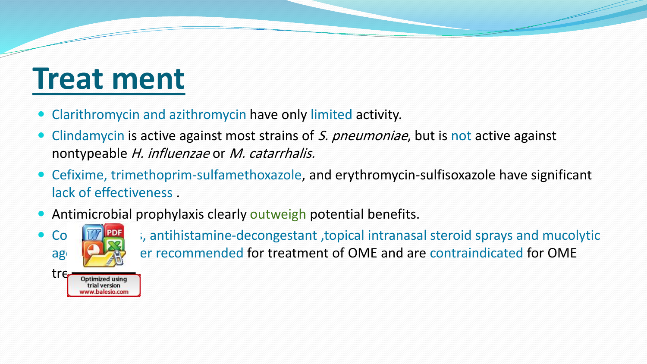## **Treat ment**

- Clarithromycin and azithromycin have only limited activity.
- Clindamycin is active against most strains of S. pneumoniae, but is not active against nontypeable H. influenzae or M. catarrhalis.
- Cefixime, trimethoprim-sulfamethoxazole, and erythromycin-sulfisoxazole have significant lack of effectiveness .
- Antimicrobial prophylaxis clearly outweigh potential benefits.



Co **The sum anticontified Secongestant** , topical intranasal steroid sprays and mucolytic agents agents no longer recommended for treatment of OME and are contraindicated for OME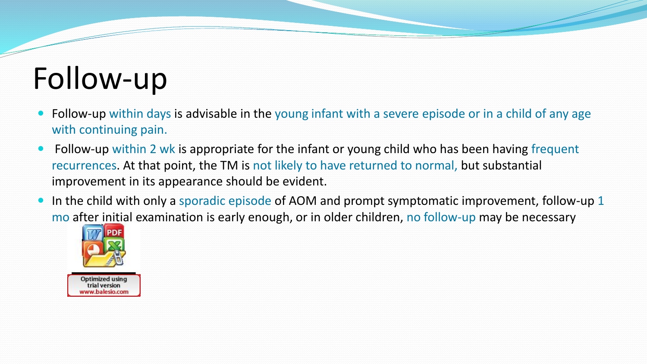## Follow-up

- Follow-up within days is advisable in the young infant with a severe episode or in a child of any age with continuing pain.
- Follow-up within 2 wk is appropriate for the infant or young child who has been having frequent recurrences. At that point, the TM is not likely to have returned to normal, but substantial improvement in its appearance should be evident.
- In the child with only a sporadic episode of AOM and prompt symptomatic improvement, follow-up 1 mo after initial examination is early enough, or in older children, no follow-up may be necessary



Optimized using trial version ww.balesio.com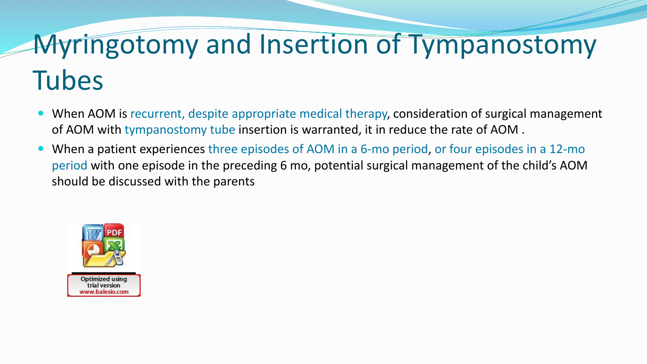### Myringotomy and Insertion of Tympanostomy Tubes

- When AOM is recurrent, despite appropriate medical therapy, consideration of surgical management of AOM with tympanostomy tube insertion is warranted, it in reduce the rate of AOM .
- When a patient experiences three episodes of AOM in a 6-mo period, or four episodes in a 12-mo period with one episode in the preceding 6 mo, potential surgical management of the child's AOM should be discussed with the parents

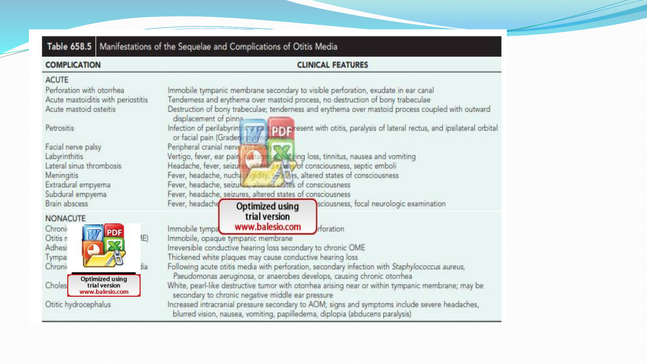| Table 658.5   Manifestations of the Sequelae and Complications of Otitis Media                                                                                                                                                 |                                                                                                                                                                                                                                                                                                                                                                                                                                                                                                                                                                                                                                                                                                                                                                                                                           |  |  |  |
|--------------------------------------------------------------------------------------------------------------------------------------------------------------------------------------------------------------------------------|---------------------------------------------------------------------------------------------------------------------------------------------------------------------------------------------------------------------------------------------------------------------------------------------------------------------------------------------------------------------------------------------------------------------------------------------------------------------------------------------------------------------------------------------------------------------------------------------------------------------------------------------------------------------------------------------------------------------------------------------------------------------------------------------------------------------------|--|--|--|
| <b>COMPLICATION</b>                                                                                                                                                                                                            | <b>CLINICAL FEATURES</b>                                                                                                                                                                                                                                                                                                                                                                                                                                                                                                                                                                                                                                                                                                                                                                                                  |  |  |  |
| <b>ACUTE</b><br>Perforation with otomhea.<br>Acute mastoiditis with periostitis<br>Acute mastoid osteitis<br>Petrositis<br>Facial nerve palsy<br>Labyrinthitis<br>Lateral sinus thrombosis<br>Meningitis<br>Extradural empyema | Immobile tympanic membrane secondary to visible perforation, exudate in ear canal<br>Tenderness and erythema over mastoid process, no destruction of bony trabeculae<br>Destruction of bony trabeculae; tenderness and erythema over mastoid process coupled with outward<br>displacement of pinna.<br>Infection of perilabyring marry 110 a) aresent with otitis, paralysis of lateral rectus, and ipsilateral orbital<br>or facial pain (Graden 1957) Johnson<br>Peripheral cranial nerve VII Daraly use<br>Vertigo, fever, ear pain, rive and constraing loss, tinnitus, nausea and vomiting<br>Headache, fever, seizures, altere 1 stang of consciousness, septic emboli<br>Fever, headache, nuchal rigidity, settinas, altered states of consciousness<br>Fever, headache, seizures, alle ed states of consciousness |  |  |  |
| Subdural empyema<br>Brain abscess<br><b>NONACUTE</b><br>Chroni<br>佢<br>Otitis n<br>Adhesi<br>Tympar<br>fia.<br>Chroni<br><b>Optimized using</b><br>Choles<br>trial version<br>www.balesio.com                                  | Fever, headache, seizures, altered states of consciousness<br>sciousness, focal neurologic examination<br>Fever, headache<br>Optimized using<br>trial version<br>www.balesio.com<br>rforation<br>Immobile tympa<br>Immobile, opaque tympanic membrane<br>Irreversible conductive hearing loss secondary to chronic OME<br>Thickened white plaques may cause conductive hearing loss<br>Following acute otitis media with perforation, secondary infection with Staphylococcus aureus,<br>Pseudomonas aeruginosa, or anaerobes develops, causing chronic otorrhea<br>White, pearl-like destructive tumor with otorrhea arising near or within tympanic membrane; may be<br>secondary to chronic negative middle ear pressure                                                                                               |  |  |  |
| Otitic hydrocephalus                                                                                                                                                                                                           | Increased intracranial pressure secondary to AOM; signs and symptoms include severe headaches,<br>blurred vision, nausea, vomiting, papilledema, diplopia (abducens paralysis)                                                                                                                                                                                                                                                                                                                                                                                                                                                                                                                                                                                                                                            |  |  |  |